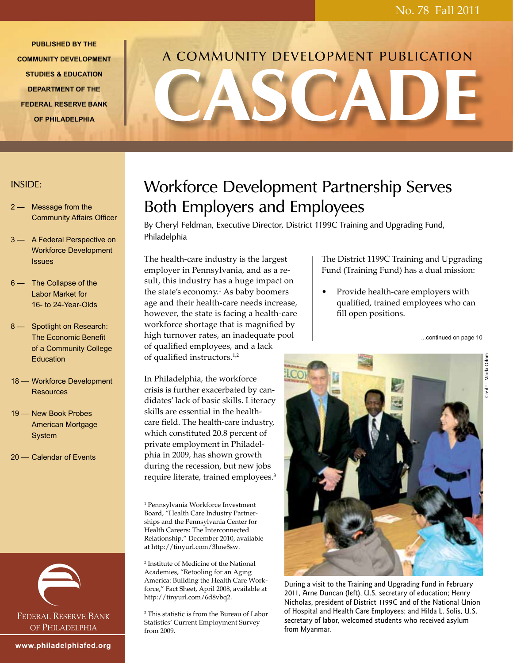**PUBLISHED BY THE COMMUNITY DEVELOPMENT STUDIES & EDUCATION DEPARTMENT OF THE FEDERAL RESERVE BANK OF PHILADELPHIA** 

# CASCADE A COMMUNITY DEVELOPMENT PUBLICATION

## INSIDE:

- 2 Message from the Community Affairs Officer
- 3 A Federal Perspective on Workforce Development **Issues**
- 6 The Collapse of the Labor Market for 16- to 24-Year-Olds
- 8 Spotlight on Research: The Economic Benefit of a Community College Education
- 18 Workforce Development **Resources**
- 19 New Book Probes American Mortgage System
- 20 Calendar of Events



# Workforce Development Partnership Serves Both Employers and Employees

By Cheryl Feldman, Executive Director, District 1199C Training and Upgrading Fund, Philadelphia

The health-care industry is the largest employer in Pennsylvania, and as a result, this industry has a huge impact on the state's economy.1 As baby boomers age and their health-care needs increase, however, the state is facing a health-care workforce shortage that is magnified by high turnover rates, an inadequate pool of qualified employees, and a lack of qualified instructors.1,2

In Philadelphia, the workforce crisis is further exacerbated by candidates' lack of basic skills. Literacy skills are essential in the healthcare field. The health-care industry, which constituted 20.8 percent of private employment in Philadelphia in 2009, has shown growth during the recession, but new jobs require literate, trained employees.3

1 Pennsylvania Workforce Investment Board, "Health Care Industry Partnerships and the Pennsylvania Center for Health Careers: The Interconnected Relationship," December 2010, available at http://tinyurl.com/3hne8sw.

2 Institute of Medicine of the National Academies, "Retooling for an Aging America: Building the Health Care Workforce," Fact Sheet, April 2008, available at http://tinyurl.com/6d8vbq2.

3 This statistic is from the Bureau of Labor Statistics' Current Employment Survey from 2009.



During a visit to the Training and Upgrading Fund in February 2011, Arne Duncan (left), U.S. secretary of education; Henry Nicholas, president of District 1199C and of the National Union of Hospital and Health Care Employees; and Hilda L. Solis, U.S. secretary of labor, welcomed students who received asylum from Myanmar.

The District 1199C Training and Upgrading Fund (Training Fund) has a dual mission:

• Provide health-care employers with qualified, trained employees who can fill open positions.

...continued on page 10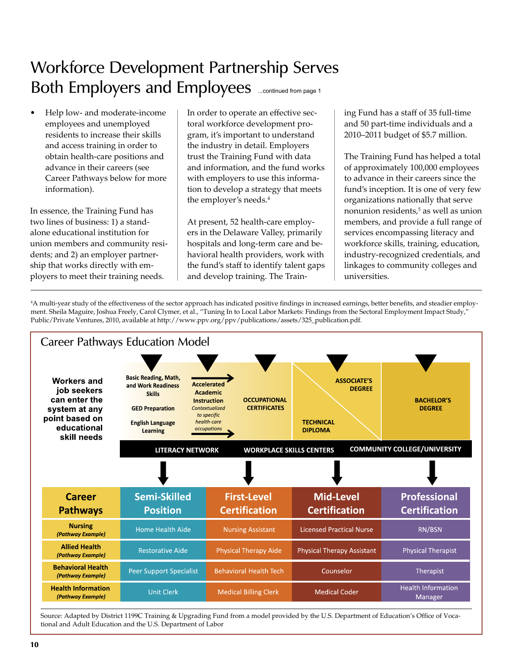# Both Employers and Employees **Ensumed from page 1** Workforce Development Partnership Serves

• Help low- and moderate-income employees and unemployed residents to increase their skills and access training in order to obtain health-care positions and advance in their careers (see Career Pathways below for more information).

In essence, the Training Fund has two lines of business: 1) a standalone educational institution for union members and community residents; and 2) an employer partnership that works directly with employers to meet their training needs.

In order to operate an effective sectoral workforce development program, it's important to understand the industry in detail. Employers trust the Training Fund with data and information, and the fund works with employers to use this information to develop a strategy that meets the employer's needs.4

At present, 52 health-care employers in the Delaware Valley, primarily hospitals and long-term care and behavioral health providers, work with the fund's staff to identify talent gaps and develop training. The Training Fund has a staff of 35 full-time and 50 part-time individuals and a 2010–2011 budget of \$5.7 million.

The Training Fund has helped a total of approximately 100,000 employees to advance in their careers since the fund's inception. It is one of very few organizations nationally that serve nonunion residents,5 as well as union members, and provide a full range of services encompassing literacy and workforce skills, training, education, industry-recognized credentials, and linkages to community colleges and universities.

4 A multi-year study of the effectiveness of the sector approach has indicated positive findings in increased earnings, better benefits, and steadier employment. Sheila Maguire, Joshua Freely, Carol Clymer, et al., "Tuning In to Local Labor Markets: Findings from the Sectoral Employment Impact Study," Public/Private Ventures, 2010, available at http://www.ppv.org/ppv/publications/assets/325\_publication.pdf.



Source: Adapted by District 1199C Training & Upgrading Fund from a model provided by the U.S. Department of Education's Office of Vocational and Adult Education and the U.S. Department of Labor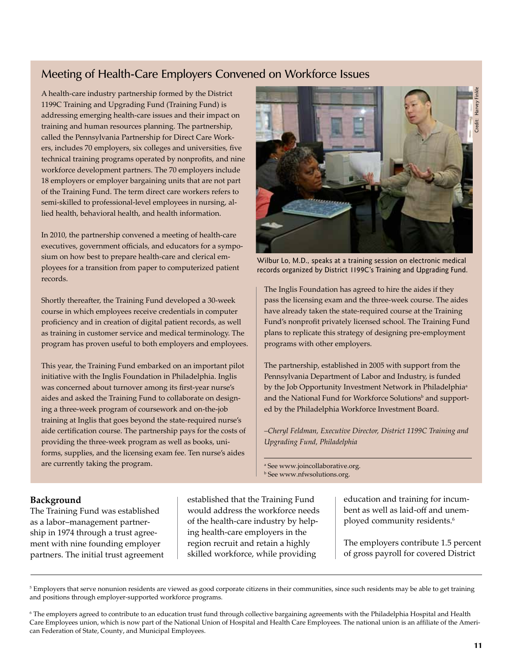# Meeting of Health-Care Employers Convened on Workforce Issues

A health-care industry partnership formed by the District 1199C Training and Upgrading Fund (Training Fund) is addressing emerging health-care issues and their impact on training and human resources planning. The partnership, called the Pennsylvania Partnership for Direct Care Workers, includes 70 employers, six colleges and universities, five technical training programs operated by nonprofits, and nine workforce development partners. The 70 employers include 18 employers or employer bargaining units that are not part of the Training Fund. The term direct care workers refers to semi-skilled to professional-level employees in nursing, allied health, behavioral health, and health information.

In 2010, the partnership convened a meeting of health-care executives, government officials, and educators for a symposium on how best to prepare health-care and clerical employees for a transition from paper to computerized patient records.

Shortly thereafter, the Training Fund developed a 30-week course in which employees receive credentials in computer proficiency and in creation of digital patient records, as well as training in customer service and medical terminology. The program has proven useful to both employers and employees.

This year, the Training Fund embarked on an important pilot initiative with the Inglis Foundation in Philadelphia. Inglis was concerned about turnover among its first-year nurse's aides and asked the Training Fund to collaborate on designing a three-week program of coursework and on-the-job training at Inglis that goes beyond the state-required nurse's aide certification course. The partnership pays for the costs of providing the three-week program as well as books, uniforms, supplies, and the licensing exam fee. Ten nurse's aides are currently taking the program.



Wilbur Lo, M.D., speaks at a training session on electronic medical records organized by District 1199C's Training and Upgrading Fund.

The Inglis Foundation has agreed to hire the aides if they pass the licensing exam and the three-week course. The aides have already taken the state-required course at the Training Fund's nonprofit privately licensed school. The Training Fund plans to replicate this strategy of designing pre-employment programs with other employers.

The partnership, established in 2005 with support from the Pennsylvania Department of Labor and Industry, is funded by the Job Opportunity Investment Network in Philadelphia<sup>a</sup> and the National Fund for Workforce Solutions<sup>b</sup> and supported by the Philadelphia Workforce Investment Board.

*–Cheryl Feldman, Executive Director, District 1199C Training and Upgrading Fund, Philadelphia*

a See www.joincollaborative.org. b See www.nfwsolutions.org.

### **Background**

The Training Fund was established as a labor–management partnership in 1974 through a trust agreement with nine founding employer partners. The initial trust agreement established that the Training Fund would address the workforce needs of the health-care industry by helping health-care employers in the region recruit and retain a highly skilled workforce, while providing

education and training for incumbent as well as laid-off and unemployed community residents.<sup>6</sup>

The employers contribute 1.5 percent of gross payroll for covered District

 $^5$  Employers that serve nonunion residents are viewed as good corporate citizens in their communities, since such residents may be able to get training and positions through employer-supported workforce programs.

<sup>6</sup> The employers agreed to contribute to an education trust fund through collective bargaining agreements with the Philadelphia Hospital and Health Care Employees union, which is now part of the National Union of Hospital and Health Care Employees. The national union is an affiliate of the Ameri-